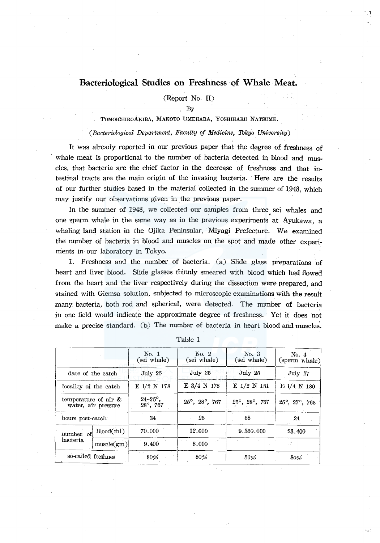# **Bacteriological Studies on Freshness of Whale Meat.**

(Report No. II)

By

## TOMOICHIROAKIBA, MAKOTO UMEHARA, YOSHIHARU NATSUME.

### *(Bacteriological Department, Faculty of Medicine, Tokyo University)*

It was already reported in our previous paper that the degree of freshness of whale meat is proportional to the number of bacteria detected in blood and muscles, that bacteria are the chief factor in the decrease of freshness and that intestinal tracts are the main origin of the invasing bacteria. Here are the results of our further studies based in the material collected in the summer of 1948, which may justify our observations given in the previous paper.

In the summer of 1948, we collected our samples from three. sei whales and one sperm whale in the same way as in the previous experiments at Ayukawa, a whaling land station in the Ojika Peninsular, Miyagi Prefecture. We examined the number of bacteria in blood and muscles on the spot and made other experiments in our laboratory in Tokyo.

1. Freshness and the number of bacteria. (a) Slide glass preparations of heart and liver blood. Slide glasses thinnly smeared with blood which had flowed from the heart and the liver respectively during the dissection were prepared, and stained with Giemsa solution, subjected to microscopic examinations with the result many bacteria, both rod and spherical, were detected. The number of bacteria in one field would indicate the approximate degree of freshness. Yet it does not make a precise standard. (b) The number of bacteria in heart blood and muscles.

|                         |                     | $\mathop{\mathrm{No.}}$ 1<br>(sei whale) | $\mathrm{No.}$ 2<br>(sei whale)   | $\mathrm{No.}~3$<br>(sei whale) | No. 4<br>(sperm whale) |
|-------------------------|---------------------|------------------------------------------|-----------------------------------|---------------------------------|------------------------|
|                         | date of the catch   | July 25                                  | July 25                           | July 25                         | July $27$              |
| locality of the catch   |                     | E 1/2 N 178                              | E 3/4 N 178                       | $E$ 1/2 N 181                   | $E$ 1/4 N 180          |
| temperature of air $\&$ | water, air pressure | $24 - 25^{\circ}$ ,<br>28°, 767          | $25^{\circ}$ , $28^{\circ}$ , 767 | 25°, 28°, 767                   | 25°, 27°, 768          |
| hours post-catch        |                     | 34                                       | 26                                | - 68                            | 24                     |
| number of               | Bload/ml)           | 70.000                                   | 12.000                            | 9.360.000                       | 23.400                 |
| bacteria                | muscle(gm)          | 9.400                                    | 8.000                             |                                 |                        |
| so-called freshnes      |                     | 80%                                      | 80%                               | 50%                             | 80%                    |

Table 1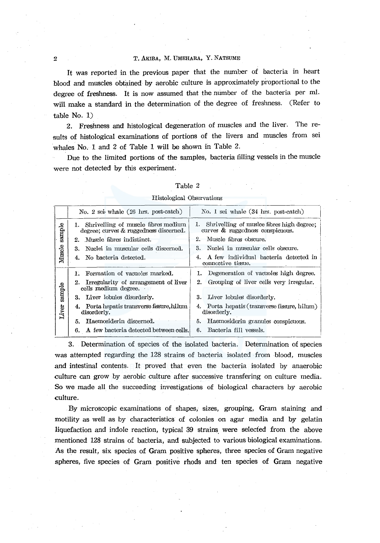## <sup>2</sup> <sup>2</sup> T. AKIBA, M. UMEHARA, Y. NATSUME

It was reported in the previous paper that the number of bacteria in heart blood and muscles obtained by aerobic culture is approximately proportional to the degree of freshness. It is now assumed that the number of the bacteria per ml. will make a standard in the determination of the degree of freshness. (Refer to table No. 1)

2. Freshness and histological degeneration of muscles and the liver. The results of histological examinations of portions of the livers and muscles from sei whales No. 1 and 2 of Table 1 will be shown in Table 2.

Due to the limited portions of the samples, bacteria filling vessels in the muscle were not detected by this experiment.

|        | TTPIOIORICSI OPSCLASTIOIP2                                                       |                                                                                  |
|--------|----------------------------------------------------------------------------------|----------------------------------------------------------------------------------|
|        | No. 2 sei whale $(26 \text{ hrs. post-catch})$                                   | No. 1 sei whale (34 hrs. post-catch)                                             |
| sample | 1. Shrivelling of muscle fibres medium<br>degree; curves & ruggedness discerned. | 1. Shrivelling of musice fibres high degree;<br>curves & ruggedness conspicuous. |
|        | 2. Muscle fibres indistinct.                                                     | 2. Muscle fibres obscure.                                                        |
|        | Nuclei in muscular cells discerned.<br>3.                                        | 3. Nuclei in muscular cells obscure.                                             |
| Muscle | 4. No bacteria detected.                                                         | 4. A few individual bacteria detected in<br>connective tissue.                   |
|        | 1. Formation of vacuoles marked.                                                 | 1. Degeneration of vacuoles high degree.                                         |
| sample | 2. Irregularity of arrangement of liver<br>cells medium degree.                  | 2. Grouping of liver cells very irregular.                                       |
|        | 3. Liver lobules disorderly.                                                     | 3. Liver lobules disorderly.                                                     |

6. Bacteria fill vessels.

4. Porta hepatis (transverse fissure, hilum) disorderly.

5. Haemosiderin granules conspicuous.

### Table 2

## Histological Observations

3. Determination of species of the isolated bacteria. Determination of species was attempted regarding the 128 strains of bacteria isolated from blood, muscles and intestinal contents. It proved that even the bacteria isolated by anaerobic culture can grow by aerobic culture after successive transfering on culture media. So we made all the succeeding investigations of biological characters by aerobic culture.

By microscopic examinations of shapes, sizes, grouping, Gram staining and motility as well as by characteristics of colonies on agar media and by gelatin liquefaction and indole reaction, typical 39 strains. were selected from the above mentioned 128 strains of bacteria, and subjected to various biological examinations. As the result, six species of Gram positive spheres, three species of Gram negative spheres, five species of Gram positive rhods and ten species of Gram negative

 $\frac{1}{\sqrt{2}}$ 

5. Haemosiderin discerned.

disorderly.

4. Porta hepatis transverse fissure,hilum

6. A few bacteria detected between cells.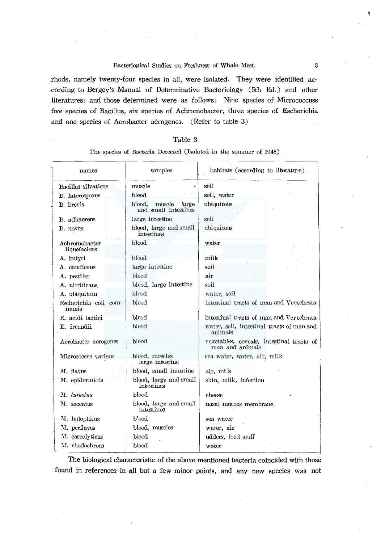rhods, namely twenty-four species in all, were isolated. They were identified ac- ·COrding to Bergey's Manual of Determinative Bacteriology (5th Ed,) and other literatures: and those determined were as follows: Nine species of Micrococcuss five species Of Bacillus, six species of Achromobacter, three species of Escherichia .and one species of Aerobacter aerogenes. (Refer to table 3)

## Table 3

## The species of Bacteria Detected (Isolated in the summer of 1948)

| names                          | samples                                           | habitats (according to literature)                           |  |  |  |  |  |  |  |
|--------------------------------|---------------------------------------------------|--------------------------------------------------------------|--|--|--|--|--|--|--|
| Bacillus silvaticus            | musele                                            | soil                                                         |  |  |  |  |  |  |  |
| B. laterosporus                | blood                                             | soil, water                                                  |  |  |  |  |  |  |  |
| B. brevis                      | muscle<br>large<br>blood.<br>and small intestines | ubiquitous                                                   |  |  |  |  |  |  |  |
| B. adhaerens                   | large intestine                                   | soil                                                         |  |  |  |  |  |  |  |
| B. novus                       | blood, large and small<br>intestines              | ubiquitous                                                   |  |  |  |  |  |  |  |
| Achromobacter<br>liquefaciens  | blood                                             | water                                                        |  |  |  |  |  |  |  |
| A. butyri                      | blood                                             | milk                                                         |  |  |  |  |  |  |  |
| A. candicans                   | large intestine                                   | soil                                                         |  |  |  |  |  |  |  |
| A. pestifer                    | blood                                             | air                                                          |  |  |  |  |  |  |  |
| A. nitrificans                 | blood, large intestine                            | soil                                                         |  |  |  |  |  |  |  |
| A. ubiquitum                   | blood                                             | water, soil                                                  |  |  |  |  |  |  |  |
| Escherichia coli com-<br>munis | blood                                             | intestinal tracts of man and Vertebrata                      |  |  |  |  |  |  |  |
| E. acidi lactici               | blood                                             | intestinal tracts of man and Vertebrata                      |  |  |  |  |  |  |  |
| E. freundii                    | blood                                             | water, soil, intestinal tracts of man and<br>animals         |  |  |  |  |  |  |  |
| Aerobacter aerogenes           | blood                                             | vegetables, ceveals, intestinal tracts of<br>man and animals |  |  |  |  |  |  |  |
| Micrococcus varians            | blood, muscles<br>large intestine                 | sea water, water, air, milk                                  |  |  |  |  |  |  |  |
| M. flavus                      | blood, small intestine                            | air, milk                                                    |  |  |  |  |  |  |  |
| M. epidermidis                 | blood, large and small<br>intestines              | skin, milk, infection                                        |  |  |  |  |  |  |  |
| M. luteolus                    | blood                                             | cheese                                                       |  |  |  |  |  |  |  |
| M. saccatus                    | blood, large and small<br>intestines              | nasal mucous membrane                                        |  |  |  |  |  |  |  |
| M. halophilus                  | blood                                             | sea water                                                    |  |  |  |  |  |  |  |
| M. perflavus                   | blood, muscles                                    | water, air                                                   |  |  |  |  |  |  |  |
| M. case olyticus               | blood                                             | udders, food stuff                                           |  |  |  |  |  |  |  |
| M. rhodochrous                 | blood                                             | water                                                        |  |  |  |  |  |  |  |

The biological characteristic of the above mentioned bacteria coincided with those :found in references in all but a few minor points, and any new species was not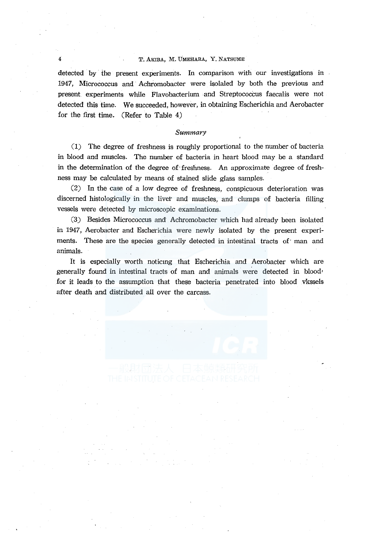## T. AKIBA, M. UMEHARA, Y. NATSUME

detected by the present experiments. In comparison with our investigations in 1947, Micrococcus and· Achromobacter were isolated by both the previous and present experiments while Flavobacterium and Streptococcus faecalis were not detected this time. We succeeded, however, in obtaining Escherichia and Aerobacter for the first time. (Refer to Table 4)

### Summary

(1) The degree of freshness is roughly proportional to the number of bacteria in blood and muscles. The number of bacteria in heart blood may be a standard in the determination of the degree of·freshness. An approximate degree of freshness may be calculated by means of stained slide glass samples.

(2) In the case of a low degree of freshness, conspicuous deterioration was discerned histologically in the livet and muscles, and clumps of bacteria filling vessels were detected by microscopic examinations.

(3) Besides Micrococcus and Achromobacter which had already been isolated in 1947, Aerobacter and Escherichia were newly isolated by the present experiments. These are the species generally detected in intestinal tracts of man and animals.

It is especially worth noticmg that Escherichia and Aerobacter which are generally found in intestinal tracts of man and animals were detected in blood• for it leads to the assumption that these bacteria penetrated into blood vkssels after death and distributed all over the carcass.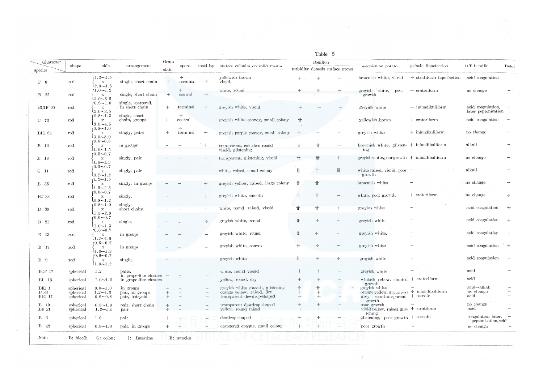|                                 |                                     |                                                                   |                                                  |               |                 |                          |                                                                                              |            | Table 5                                     |                          |                                                                                                            |                                                    |                                                |                          |
|---------------------------------|-------------------------------------|-------------------------------------------------------------------|--------------------------------------------------|---------------|-----------------|--------------------------|----------------------------------------------------------------------------------------------|------------|---------------------------------------------|--------------------------|------------------------------------------------------------------------------------------------------------|----------------------------------------------------|------------------------------------------------|--------------------------|
| Character<br>Species            | shape                               | side                                                              | arrangement                                      | Gram<br>stain | spore           | motility                 | surface colonies on solid media                                                              |            | Boulllon<br>turbidity deposit surface grows |                          | colonies on potato                                                                                         | gelatin liquefaction                               | B.T.B milk                                     | Indol                    |
| F <sub>8</sub>                  | rod                                 | $1.3 - 1.5$<br>$\boldsymbol{\mathrm{X}}$                          | single, short chain                              | $\div$        | $+$<br>terminal | $+$                      | yellowish brown<br>viscid,                                                                   | $+$        |                                             |                          |                                                                                                            | brownish white, viscid $+$ stratiform liquefaction | acid coagulation                               |                          |
| <b>B</b> 22                     | rođ                                 | $(2.0 - 4.5)$<br>$1.0 - 1.2$<br>$\boldsymbol{\mathrm{X}}$         | single, short chain                              | $+$           | $+$<br>central  | $\!+\!$                  | white, round                                                                                 |            | $+$                                         |                          | greyish white, poor<br>growth                                                                              | + crateriform                                      | no change                                      |                          |
| BCIF 60                         | $_{\rm rod}$                        | $12.0 - 3.5$<br>$f(0.6 - 1.0)$<br>$\mathbf{X}$<br>$12.0 - 3.5$    | single, scattered,<br>in short chain             | $+$           | $+$<br>terminal | $+$                      | greyish white, viscid                                                                        | $+$        |                                             |                          | greyish white                                                                                              | $+$ infundibuliform                                | acid coagulation,<br>later peptonisation       |                          |
| $C$ 73                          | $_{\rm rod}$                        | $10.8 - 1.2$<br>$\mathbf X$<br>$13.0 - 4.5$                       | single, short<br>chain, groups                   | $+$           | $+$<br>central  |                          | greyish white convex, small colony                                                           | 十          | $+$                                         |                          | yellowish brown                                                                                            | $+$ crateriform                                    | acid coagulation                               | $\overline{\phantom{a}}$ |
| <b>BIC 64</b>                   | rod                                 | $(0.8 - 1.0)$<br>$\mathbf{x}$<br>$3.0 - 5.0$                      | singly, pairs                                    | $+$           | $+$<br>terminal | $+$                      | greyish purple convex, small colony                                                          | $+$        | $+$                                         | $\overline{\phantom{a}}$ | greyish white                                                                                              | $+$ infundbuliform                                 | no change                                      |                          |
| <b>B</b> 16                     | rod                                 | $f(0.6 - 0.8)$<br>$\mathbf{X}$<br>$1.0 - 1.5$                     | in groups                                        |               |                 |                          | transparent, colorless round<br>viscid, glistening                                           |            | $+$                                         | $+$                      | brownish white, glisten- $+$ infundibuliform<br>inz                                                        |                                                    | alkali                                         |                          |
| B 18                            | $_{\rm rod}$                        | $0.5 - 0.7$<br>$\mathbf{x}$<br>$(1.0 - 1.3)$                      | singly, pair                                     |               |                 |                          | transparent, glistening, viscid                                                              |            | ₩                                           | $+$                      | $greyish white, poor growth + intundibuliform$                                                             |                                                    | no change                                      |                          |
| C <sub>11</sub>                 | $_{\rm rod}$                        | $0.5 \sim 0.7$<br>. $\mathbf{X}$<br>$10.7 - 1.2$<br>$(1.2 - 1.5)$ | singly, pair                                     |               |                 |                          | white, raised, small colony                                                                  | ₩          | $\frac{1}{2}$                               | $\mathop{\mathrm{III}}$  | white raised, viscid, poor $-$<br>growth                                                                   |                                                    | alkali                                         |                          |
| <b>B</b> 35                     | rod                                 | $\mathbf{x}$<br>$1.5 - 2.5$<br>$0.6 - 0.7$                        | singly, in groups                                |               |                 |                          | greyish yellow, raised, large colony                                                         | $^{\rm +}$ | 卝                                           |                          | brownish white                                                                                             |                                                    | no change                                      |                          |
| <b>BC</b> 33                    | rod                                 | $\mathbf{X}$<br>$\lambda_{0.8}$ ~1.2<br>$f(0.8 - 1.0)$            | singly,<br>singly                                |               |                 | $+$                      | greyish white, smooth                                                                        | $^+$       | $\ensuremath{\mathop{\Downarrow}}$          |                          | white, poor growth                                                                                         | $+$ crateriform                                    | no change                                      | $+$                      |
| B 39                            | $\rm{rod}$                          | $\mathbf{x}$<br>$1.5 - 2.0$<br>$f(0.6 - 0.7)$                     | short chains                                     |               |                 |                          | white, round, raised, viscid                                                                 | 卝          | 卄                                           | $+$                      | greyish white                                                                                              |                                                    | acid coagulation                               | 士                        |
| <b>B</b> 21                     | $_{\rm rod}$                        | $\mathbf{x}$<br>$1.0 - 1.3$<br>r $0.6 \sim 0.7$                   | single,                                          |               |                 | $+$                      | greyish white, round                                                                         | 卝          | $+$                                         | $\overline{\phantom{a}}$ | greyish white                                                                                              |                                                    | acid coagulation                               | $+$                      |
| B 13                            | $_{\rm rod}$                        | $\boldsymbol{X}$<br>$1.2 - 1.5$<br>$f(0.6 - 0.7)$                 | in groups                                        |               |                 | $\overline{\phantom{a}}$ | greyish white, round                                                                         | 卝<br>$+$   | $+$<br>$+$                                  | $\overline{\phantom{m}}$ | greyish white,<br>greyish white                                                                            |                                                    | acid coagulation<br>acid coagulation $+$       | $+$                      |
| <b>B</b> 17                     | $\mathop{\mathrm{rod}}$             | $\mathbf{X}$<br>$(1.0 - 1.3)$<br>$f(0.6 - 0.7)$                   | in groups                                        |               |                 |                          | greyish white, convex<br>greyish white                                                       | 卝          |                                             |                          | greyish white                                                                                              |                                                    | acid coagulation                               | $\overline{\phantom{a}}$ |
| B <sub>0</sub><br><b>BCF 17</b> | rođ<br>spherical                    | $\mathbf{x}$<br>$1.0 \sim 1.2$<br>1.2                             | single,<br>pairs,                                |               |                 |                          | white, round vescid                                                                          |            |                                             |                          | greyish white                                                                                              |                                                    | acid                                           |                          |
| BI 13                           | spherical                           | $1.0 - 1.2$                                                       | in grape-like clusters<br>in grape-like clusters |               |                 |                          | yellow, round, dry                                                                           |            |                                             |                          | whitish yellow, stunted + crateriform                                                                      |                                                    | acid                                           |                          |
| BIG 1<br><b>B</b> 33            | spherical<br>spherical              | $0.8 - 1.0$<br>$1.2 - 1.3$                                        | in groups<br>pair, in groups                     |               |                 |                          | greyish white smooth, glistening<br>orange yellow, raised, dry<br>transparent dewdrop-shaped | ⇈          | $+$<br>$^{+}$                               |                          | growth<br>greyish white<br>orange yellow, dry raised $+$ infundibuliform<br>grey semitransparent + saccate |                                                    | $acid \rightarrow alkali$<br>no change<br>acid |                          |
| BIC 17<br><b>B</b> 19<br>BF 21  | spherical<br>spherical<br>spherical | $0.6 - 0.8$<br>$0.8 - 1.0$<br>$1.2 - 1.5$                         | pair, botryoid<br>pair, short chain<br>pair      |               |                 |                          | transparent dewdrop-shaped<br>yellow, round raised                                           | ┿          |                                             | $+$                      | growth<br>poor growth<br>vivid yellow, raised glis- + stratiform                                           |                                                    | no change<br>acid                              |                          |
| $B_6$                           | spherical                           | 1.0                                                               | pair                                             |               |                 |                          | dewdrop-shaped                                                                               |            |                                             |                          | tening<br>glistening, poor growth $+$ saccate                                                              |                                                    | $coagulation later, -$                         |                          |
| $B = 42$                        | spherical                           | $0.9 - 1.0$                                                       | pair, in groups                                  | $+$           |                 |                          | orangered opaque, small colony                                                               | $+$        | $+$                                         |                          | poor growth                                                                                                |                                                    | peptonisation, acid<br>no change               |                          |
| Note                            | B: blood;                           | C: colon;                                                         | 1: Intestine                                     |               | F: muscles      |                          |                                                                                              |            |                                             |                          |                                                                                                            |                                                    |                                                |                          |

 $\mathcal{J}$ 

 $\sim$